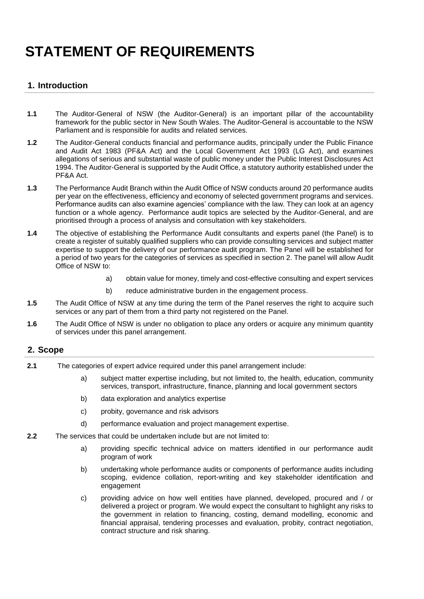# **STATEMENT OF REQUIREMENTS**

## **1. Introduction**

- **1.1** The Auditor-General of NSW (the Auditor-General) is an important pillar of the accountability framework for the public sector in New South Wales. The Auditor-General is accountable to the NSW Parliament and is responsible for audits and related services.
- **1.2** The Auditor-General conducts financial and performance audits, principally under the Public Finance and Audit Act 1983 (PF&A Act) and the Local Government Act 1993 (LG Act), and examines allegations of serious and substantial waste of public money under the Public Interest Disclosures Act 1994. The Auditor-General is supported by the Audit Office, a statutory authority established under the PF&A Act.
- **1.3** The Performance Audit Branch within the Audit Office of NSW conducts around 20 performance audits per year on the effectiveness, efficiency and economy of selected government programs and services. Performance audits can also examine agencies' compliance with the law. They can look at an agency function or a whole agency. Performance audit topics are selected by the Auditor-General, and are prioritised through a process of analysis and consultation with key stakeholders.
- **1.4** The objective of establishing the Performance Audit consultants and experts panel (the Panel) is to create a register of suitably qualified suppliers who can provide consulting services and subject matter expertise to support the delivery of our performance audit program. The Panel will be established for a period of two years for the categories of services as specified in section 2. The panel will allow Audit Office of NSW to:
	- a) obtain value for money, timely and cost-effective consulting and expert services
	- b) reduce administrative burden in the engagement process.
- **1.5** The Audit Office of NSW at any time during the term of the Panel reserves the right to acquire such services or any part of them from a third party not registered on the Panel.
- **1.6** The Audit Office of NSW is under no obligation to place any orders or acquire any minimum quantity of services under this panel arrangement.

## **2. Scope**

- **2.1** The categories of expert advice required under this panel arrangement include:
	- a) subject matter expertise including, but not limited to, the health, education, community services, transport, infrastructure, finance, planning and local government sectors
	- b) data exploration and analytics expertise
	- c) probity, governance and risk advisors
	- d) performance evaluation and project management expertise.
- **2.2** The services that could be undertaken include but are not limited to:
	- a) providing specific technical advice on matters identified in our performance audit program of work
	- b) undertaking whole performance audits or components of performance audits including scoping, evidence collation, report-writing and key stakeholder identification and engagement
	- c) providing advice on how well entities have planned, developed, procured and / or delivered a project or program. We would expect the consultant to highlight any risks to the government in relation to financing, costing, demand modelling, economic and financial appraisal, tendering processes and evaluation, probity, contract negotiation, contract structure and risk sharing.